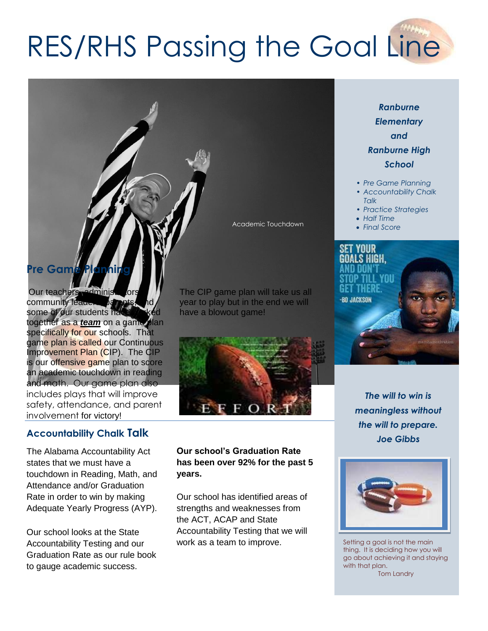# RES/RHS Passing the Goal Line

# **Pre Game**

Our teachers, administration community leade some of our students ha together as a *team* on a game plan specifically for our schools. That game plan is called our Continuous Improvement Plan (CIP). The CIP is our offensive game plan to score an academic touchdown in reading and math. Our game plan also includes plays that will improve safety, attendance, and parent involvement for victory!

## **Accountability Chalk Talk**

The Alabama Accountability Act states that we must have a touchdown in Reading, Math, and Attendance and/or Graduation Rate in order to win by making Adequate Yearly Progress (AYP).

Our school looks at the State Accountability Testing and our Graduation Rate as our rule book to gauge academic success.

The CIP game plan will take us all year to play but in the end we will have a blowout game!

Academic Touchdown



**Our school's Graduation Rate has been over 92% for the past 5 years.**

Our school has identified areas of strengths and weaknesses from the ACT, ACAP and State Accountability Testing that we will work as a team to improve.

# *Ranburne Elementary and Ranburne High School*

- *• Pre Game Planning*
- *• Accountability Chalk Talk*
- *• Practice Strategies*
- *Half Time*
- *Final Score*



*The will to win is meaningless without the will to prepare. Joe Gibbs*



Setting a goal is not the main thing. It is deciding how you will go about achieving it and staying with that plan. Tom Landry